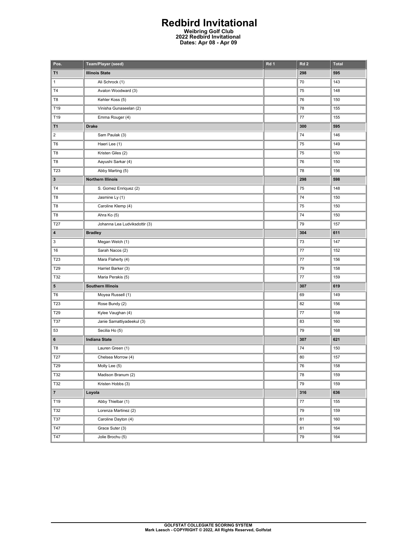## **Redbird Invitational**

**Weibring Golf Club 2022 Redbird Invitational Dates: Apr 08 - Apr 09** 

| Pos.                    | Team/Player (seed)            | Rd 1 | Rd <sub>2</sub> | <b>Total</b> |
|-------------------------|-------------------------------|------|-----------------|--------------|
| T1                      | <b>Illinois State</b>         |      | 298             | 595          |
| 1                       | Ali Schrock (1)               |      | 70              | 143          |
| <b>T4</b>               | Avalon Woodward (3)           |      | 75              | 148          |
| T8                      | Kehler Koss (5)               |      | 76              | 150          |
| T19                     | Vinisha Gunaseelan (2)        |      | 78              | 155          |
| T19                     | Emma Rouger (4)               |      | 77              | 155          |
| T1                      | <b>Drake</b>                  |      | 300             | 595          |
| $\overline{\mathbf{c}}$ | Sam Paulak (3)                |      | 74              | 146          |
| T <sub>6</sub>          | Haeri Lee (1)                 |      | 75              | 149          |
| T8                      | Kristen Giles (2)             |      | 75              | 150          |
| T8                      | Aayushi Sarkar (4)            |      | 76              | 150          |
| T23                     | Abby Marting (5)              |      | 78              | 156          |
| 3                       | <b>Northern Illinois</b>      |      | 298             | 598          |
| T4                      | S. Gomez Enriquez (2)         |      | 75              | 148          |
| T8                      | Jasmine Ly (1)                |      | 74              | 150          |
| T8                      | Caroline Klemp (4)            |      | 75              | 150          |
| T8                      | Ahra Ko (5)                   |      | 74              | 150          |
| T27                     | Johanna Lea Ludviksdottir (3) |      | 79              | 157          |
| 4                       | <b>Bradley</b>                |      | 304             | 611          |
| 3                       | Megan Welch (1)               |      | $73\,$          | 147          |
| 16                      | Sarah Nacos (2)               |      | 77              | 152          |
| T23                     | Mara Flaherty (4)             |      | $77 \,$         | 156          |
| T29                     | Harriet Barker (3)            |      | 79              | 158          |
| T32                     | Maria Perakis (5)             |      | 77              | 159          |
| 5                       | <b>Southern Illinois</b>      |      | 307             | 619          |
| T <sub>6</sub>          | Moyea Russell (1)             |      | 69              | 149          |
| T23                     | Rose Bundy (2)                |      | 82              | 156          |
| T29                     | Kylee Vaughan (4)             |      | $77 \,$         | 158          |
| T37                     | Janie Samattiyadeekul (3)     |      | 83              | 160          |
| 53                      | Secilia Ho (5)                |      | 79              | 168          |
| 6                       | <b>Indiana State</b>          |      | 307             | 621          |
| T8                      | Lauren Green (1)              |      | 74              | 150          |
| T27                     | Chelsea Morrow (4)            |      | 80              | 157          |
| T29                     | Molly Lee (5)                 |      | 76              | 158          |
| T32                     | Madison Branum (2)            |      | 78              | 159          |
| T32                     | Kristen Hobbs (3)             |      | 79              | 159          |
| $\overline{7}$          | Loyola                        |      | 316             | 636          |
| T19                     | Abby Thielbar (1)             |      | $77\,$          | 155          |
| T32                     | Lorenza Martinez (2)          |      | 79              | 159          |
| T37                     | Caroline Dayton (4)           |      | 81              | 160          |
| T47                     | Grace Suter (3)               |      | 81              | 164          |
| T47                     | Jolie Brochu (5)              |      | ${\bf 79}$      | 164          |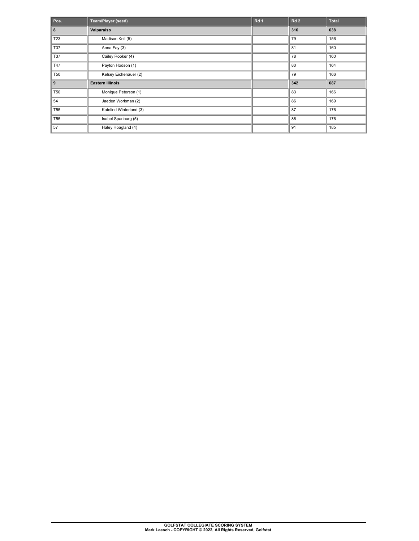| Pos.            | Team/Player (seed)      | Rd <sub>1</sub> | Rd <sub>2</sub> | <b>Total</b> |
|-----------------|-------------------------|-----------------|-----------------|--------------|
| 8               | Valparaiso              |                 | 316             | 638          |
| T <sub>23</sub> | Madison Keil (5)        |                 | 79              | 156          |
| <b>T37</b>      | Anna Fay (3)            |                 | 81              | 160          |
| T37             | Cailey Rooker (4)       |                 | 78              | 160          |
| T47             | Payton Hodson (1)       |                 | 80              | 164          |
| <b>T50</b>      | Kelsey Eichenauer (2)   |                 | 79              | 166          |
| 9               | <b>Eastern Illinois</b> |                 | 342             | 687          |
| <b>T50</b>      | Monique Peterson (1)    |                 | 83              | 166          |
| 54              | Jaeden Workman (2)      |                 | 86              | 169          |
| <b>T55</b>      | Katelind Winterland (3) |                 | 87              | 176          |
| <b>T55</b>      | Isabel Spanburg (5)     |                 | 86              | 176          |
| 57              | Haley Hoagland (4)      |                 | 91              | 185          |